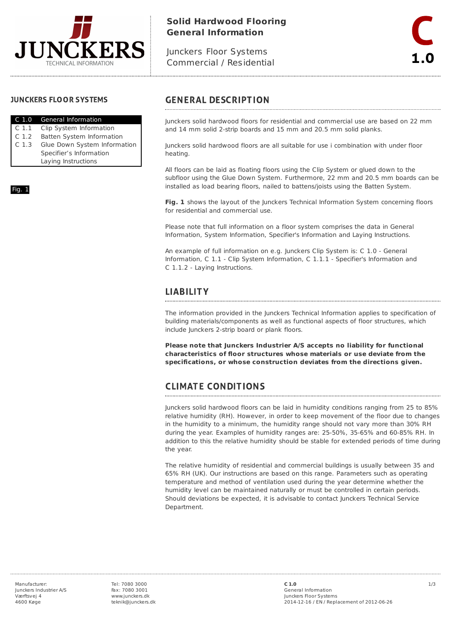

# **Solid Hardwood Flooring General Information**

Junckers Floor Systems Commercial / Residential

#### **JUNCKERS FLOOR SYSTEMS**

Fig. 1

|                  | C 1.0 General Information    |  |
|------------------|------------------------------|--|
| C 1.1            | Clip System Information      |  |
| C <sub>1.2</sub> | Batten System Information    |  |
| C.1.3            | Glue Down System Information |  |
|                  | Specifier's Information      |  |
|                  | Laying Instructions          |  |

## **GENERAL DESCRIPTION**

Junckers solid hardwood floors for residential and commercial use are based on 22 mm and 14 mm solid 2-strip boards and 15 mm and 20.5 mm solid planks.

Junckers solid hardwood floors are all suitable for use i combination with under floor heating.

All floors can be laid as floating floors using the Clip System or glued down to the subfloor using the Glue Down System. Furthermore, 22 mm and 20.5 mm boards can be installed as load bearing floors, nailed to battens/joists using the Batten System.

**Fig. 1** shows the layout of the Junckers Technical Information System concerning floors for residential and commercial use.

Please note that full information on a floor system comprises the data in General Information, System Information, Specifier's Information and Laying Instructions.

An example of full information on e.g. Junckers Clip System is: C 1.0 - General Information, C 1.1 - Clip System Information, C 1.1.1 - Specifier's Information and C 1.1.2 - Laying Instructions.

## **LIABILITY**

The information provided in the Junckers Technical Information applies to specification of building materials/components as well as functional aspects of floor structures, which include Junckers 2-strip board or plank floors.

**Please note that Junckers Industrier A/S accepts no liability for functional characteristics of floor structures whose materials or use deviate from the specifications, or whose construction deviates from the directions given.**

#### **CLIMATE CONDITIONS**

Junckers solid hardwood floors can be laid in humidity conditions ranging from 25 to 85% relative humidity (RH). However, in order to keep movement of the floor due to changes in the humidity to a minimum, the humidity range should not vary more than 30% RH during the year. Examples of humidity ranges are: 25-50%, 35-65% and 60-85% RH. In addition to this the relative humidity should be stable for extended periods of time during the year.

The relative humidity of residential and commercial buildings is usually between 35 and 65% RH (UK). Our instructions are based on this range. Parameters such as operating temperature and method of ventilation used during the year determine whether the humidity level can be maintained naturally or must be controlled in certain periods. Should deviations be expected, it is advisable to contact Junckers Technical Service Department.

Tel: 7080 3000 Fax: 7080 3001 www.junckers.dk teknik@junckers.dk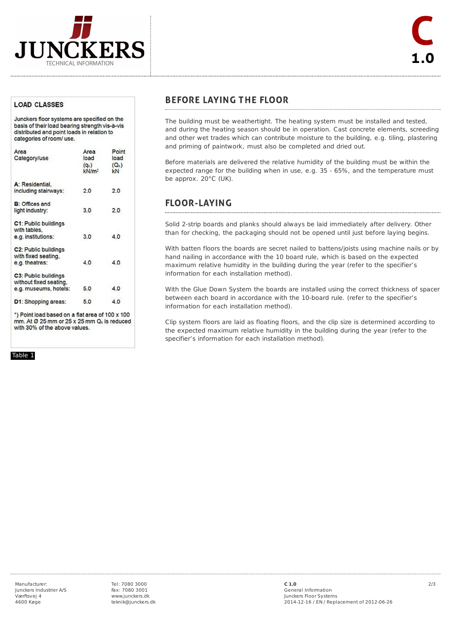

#### **LOAD CLASSES**

Junckers floor systems are specified on the basis of their load bearing strength vis-à-vis distributed and point loads in relation to categories of room/ use.

| Area                   | Area              | Point   |
|------------------------|-------------------|---------|
| Category/use           | load              | load    |
|                        | $(q_k)$           | $(Q_k)$ |
|                        | kN/m <sup>2</sup> | kN      |
| A: Residential.        |                   |         |
| including stairways:   | 2.0               | 2.0     |
| <b>B: Offices and</b>  |                   |         |
| light industry:        | 3.0               | 2.0     |
| C1: Public buildings   |                   |         |
| with tables.           |                   |         |
| e.g. institutions:     | 3.0               | 4.0     |
| C2: Public buildings   |                   |         |
| with fixed seating,    |                   |         |
| e.g. theatres:         | 4.0               | 4.0     |
| C3: Public buildings   |                   |         |
| without fixed seating, |                   |         |
| e.g. museums, hotels:  | 5.0               | 4.0     |
| D1: Shopping areas:    | 5.0               | 4.0     |
|                        |                   |         |

\*) Point load based on a flat area of 100 x 100 mm. At Ø 25 mm or 25 x 25 mm Q<sub>k</sub> is reduced with 30% of the above values.

Table 1

### **BEFORE LAYING THE FLOOR**

The building must be weathertight. The heating system must be installed and tested, and during the heating season should be in operation. Cast concrete elements, screeding and other wet trades which can contribute moisture to the building, e.g. tiling, plastering and priming of paintwork, must also be completed and dried out.

Before materials are delivered the relative humidity of the building must be within the expected range for the building when in use, e.g. 35 - 65%, and the temperature must be approx. 20°C (UK).

## **FLOOR-LAYING**

Solid 2-strip boards and planks should always be laid immediately after delivery. Other than for checking, the packaging should not be opened until just before laying begins.

With batten floors the boards are secret nailed to battens/joists using machine nails or by hand nailing in accordance with the 10 board rule, which is based on the expected maximum relative humidity in the building during the year (refer to the specifier's information for each installation method).

With the Glue Down System the boards are installed using the correct thickness of spacer between each board in accordance with the 10-board rule. (refer to the specifier's information for each installation method).

Clip system floors are laid as floating floors, and the clip size is determined according to the expected maximum relative humidity in the building during the year (refer to the specifier's information for each installation method).